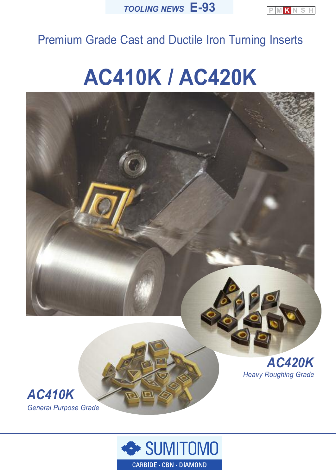

## Premium Grade Cast and Ductile Iron Turning Inserts

# **AC410K / AC420K**





*General Purpose Grade*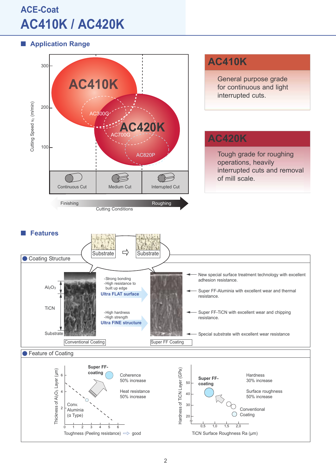## **ACE-Coat AC410K / AC420K**

**Application Range**

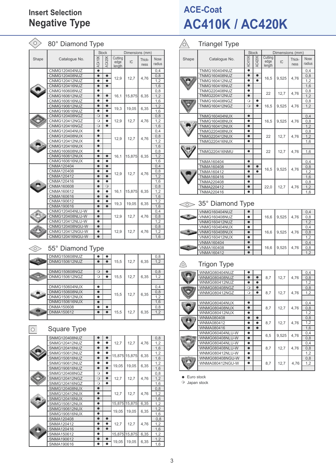## **Insert Selection Negative Type**

| $\circ$ | 80° Diamond Type     |               |               |                           |                 |                |                       |
|---------|----------------------|---------------|---------------|---------------------------|-----------------|----------------|-----------------------|
|         |                      |               | <b>Stock</b>  |                           | Dimensions (mm) |                |                       |
| Shape   | Catalogue No.        | <b>AC410K</b> | <b>AC420K</b> | Cutting<br>edge<br>length | IC              | Thick-<br>ness | <b>Nose</b><br>radius |
|         | <b>CNMG120404NUZ</b> | $\bullet$     |               |                           |                 |                | 0,4                   |
|         | <b>CNMG120408NUZ</b> | $\bullet$     | $\bullet$     | 12,9                      | 12,7            | 4,76           | 0,8                   |
|         | <b>CNMG120412NUZ</b> | $\bullet$     | $\bullet$     |                           |                 |                | 1,2                   |
|         | <b>CNMG120416NUZ</b> | $\bullet$     | $\bullet$     |                           |                 |                | 1,6                   |
|         | CNMG160608NUZ        | $\bullet$     |               |                           |                 |                | 0,8                   |
|         | <b>CNMG160612NUZ</b> | $\bullet$     | $\bullet$     | 16,1                      | 15,875          | 6,35           | 1,2                   |
|         | CNMG160616NUZ        | $\bullet$     | $\bullet$     |                           |                 |                | 1,6                   |
|         | <b>CNMG190612NUZ</b> | $\bullet$     | $\bullet$     | 19,3                      | 19,05           | 6,35           | 1.2                   |
|         | <b>CNMG190616NUZ</b> | $\bullet$     | $\bullet$     |                           |                 |                | 1,6                   |
|         | CNMG120408NGZ        | $\circ$       | $\bullet$     |                           |                 |                | 0,8                   |
|         | CNMG120412NGZ        | $\circ$       | $\bullet$     | 12,9                      | 12,7            | 4,76           | 1,2                   |
|         | <b>CNMG120416NGZ</b> | $\circ$       | $\bullet$     |                           |                 |                | 1,6                   |
|         | <b>CNMG120404NUX</b> | $\bullet$     |               |                           |                 |                | 0.4                   |
|         | <b>CNMG120408NUX</b> | $\bullet$     |               | 12,9                      |                 | 4,76           | 0,8                   |
|         | <b>CNMG120412NUX</b> | $\bullet$     |               |                           | 12,7            |                | 1,2                   |
|         | <b>CNMG120416NUX</b> | $\bullet$     |               |                           |                 |                | 1,6                   |
|         | <b>CNMG160608NUX</b> | $\bullet$     |               |                           |                 |                | 0,8                   |
|         | <b>CNMG160612NUX</b> | $\bullet$     | $\bullet$     | 16,1                      | 15,875          | 6,35           | 1,2                   |
|         | <b>CNMG160616NUX</b> | $\bullet$     | $\bullet$     |                           |                 |                | 1.6                   |
|         | CNMA120404           | $\bullet$     | $\bullet$     |                           |                 |                | 0,4                   |
|         | CNMA120408           | $\bullet$     | $\bullet$     | 12,9                      | 12,7            | 4,76           | 0,8                   |
|         | <b>CNMA120412</b>    | $\bullet$     | $\bullet$     |                           |                 |                | 1.2                   |
|         | CNMA120416           | $\bullet$     | $\bullet$     |                           |                 |                | 1,6                   |
|         | CNMA160608           | $\bullet$     | $\circ$       |                           |                 |                | 0,8                   |
|         | CNMA160612           | ●             | $\bullet$     | 16.1                      | 15,875          | 6,35           | 1,2                   |
|         | CNMA160616           | $\bullet$     | $\bullet$     |                           |                 |                | 1,6                   |
|         | CNMA190612           | $\bullet$     | $\bullet$     |                           |                 |                | 1,2                   |
|         | CNMA190616           | $\bullet$     | $\bullet$     | 19.3                      | 19,05           | 6,35           | 1,6                   |
|         | CNMG120404NLU-W      | $\bullet$     |               |                           |                 |                | 0,4                   |
|         | CNMG120408NLU-W      | $\bullet$     |               | 12,9                      | 12,7            | 4,76           | 0,8                   |
|         | CNMG120412NLU-W      | $\bullet$     |               |                           |                 |                | 1,2                   |
|         | CNMG120408NGU-W      | $\bullet$     |               |                           |                 |                | 0,8                   |
|         | CNMG120412NGU-W      | $\bullet$     |               | 12,9                      | 12,7            | 4,76           | 1,2                   |
|         | CNMG120416NGU-W      | $\bullet$     |               |                           |                 |                | 1,6                   |

## $\textcircled{\tiny{\textcircled{\#}}}$  55° Diamond Type

|   | <b>DNMG150608NUZ</b> |         |      |      |      | 0,8 |
|---|----------------------|---------|------|------|------|-----|
|   | <b>DNMG150612NUZ</b> |         | 15,5 | 12,7 | 6,35 | 1,2 |
|   |                      |         |      |      |      |     |
|   | DNMG150608NGZ        | $\circ$ |      |      |      | 0,8 |
| 8 | <b>DNMG150612NGZ</b> | $\circ$ | 15,5 | 12.7 | 6,35 | 1,2 |
|   |                      |         |      |      |      |     |
|   | <b>DNMG150604NUX</b> |         |      |      |      | 0,4 |
|   | <b>DNMG150608NUX</b> |         |      |      |      | 0,8 |
|   | <b>DNMG150612NUX</b> | ●       | 15,5 | 12,7 | 6,35 | 1,2 |
|   | <b>DNMG150616NUX</b> |         |      |      |      | 1,6 |
|   | <b>DNMA150608</b>    |         |      |      |      | 0,8 |
|   | DNMA150612           |         | 15,5 | 12,7 | 6,35 | 1,2 |
|   |                      |         |      |      |      |     |

## $\boxed{\circ}$

## Square Type

|  | <b>SNMG120408NUZ</b> |         |           |       |               |      | 0,8 |
|--|----------------------|---------|-----------|-------|---------------|------|-----|
|  | <b>SNMG120412NUZ</b> |         |           | 12,7  | 12,7          | 4,76 | 1,2 |
|  | SNMG120416NUZ        |         |           |       |               |      | 1,6 |
|  | SNMG150612NUZ        |         |           |       |               |      | 1,2 |
|  | <b>SNMG150616NUZ</b> |         |           |       | 15,875 15,875 | 6,35 | 1,6 |
|  | SNMG190612NUZ        |         |           |       |               |      | 1,2 |
|  | <b>SNMG190616NUZ</b> |         |           | 19,05 | 19,05         | 6,35 | 1,6 |
|  | SNMG120408NGZ        | $\circ$ |           |       |               |      | 0,8 |
|  | <b>SNMG120412NGZ</b> | $\circ$ | $\bullet$ | 12,7  | 12.7          | 4.76 | 1,2 |
|  | <b>SNMG120416NGZ</b> | $\circ$ | $\bullet$ |       |               |      | 1,6 |
|  | <b>SNMG120408NUX</b> |         |           |       |               |      | 0,8 |
|  | <b>SNMG120412NUX</b> |         |           | 12,7  | 12.7          | 4.76 | 1,2 |
|  | <b>SNMG120416NUX</b> |         |           |       |               |      | 1,6 |
|  | <b>SNMG150612NUX</b> |         |           |       | 15,875 15,875 | 6,35 | 1,2 |
|  | <b>SNMG190612NUX</b> |         |           |       | 19.05         | 6,35 | 1,2 |
|  | <b>SNMG190616NUX</b> |         |           | 19,05 |               |      | 1,6 |
|  | SNMA120408           |         |           |       |               |      | 0,8 |
|  | SNMA120412           |         |           | 12,7  | 12,7          | 4,76 | 1,2 |
|  | SNMA120416           |         |           |       |               |      | 1,6 |
|  | SNMA150612           |         |           |       | 15,875 15,875 | 6,35 | 1,2 |
|  | SNMA190612           |         |           |       |               |      | 1,2 |
|  | SNMA190616           |         |           | 19,05 | 19,05         | 6,35 | 1,6 |

## **ACE-Coat AC410K / AC420K**

#### $\triangle$ Triangel Type

|       |                      |                            | <b>Stock</b>  | Dimensions (mm)           |       |                |                       |
|-------|----------------------|----------------------------|---------------|---------------------------|-------|----------------|-----------------------|
| Shape | Catalogue No.        | <b>AC410K</b>              | <b>AC420K</b> | Cutting<br>edge<br>length | IC    | Thick-<br>ness | <b>Nose</b><br>radius |
|       | <b>TNMG160404NUZ</b> |                            |               |                           |       |                | 0,4                   |
|       | <b>TNMG160408NUZ</b> | $\bullet$                  | ●             | 16,5                      | 9,525 | 4,76           | 0,8                   |
|       | <b>TNMG160412NUZ</b> | $\bullet$                  |               |                           |       |                | 1,2                   |
|       | TNMG160416NUZ        | $\bullet$                  |               |                           |       |                | 1,6                   |
|       | <b>TNMG220408NUZ</b> | $\bullet$                  |               | 22                        | 12,7  | 4,76           | 0,8                   |
|       | <b>TNMG220412NUZ</b> | $\bullet$                  |               |                           |       |                | 1,2                   |
|       | <b>TNMG160408NGZ</b> | $\circ$                    | $\bullet$     |                           |       |                | 0,8                   |
|       | <b>TNMG160412NGZ</b> | $\circ$                    | $\bullet$     | 16,5                      | 9,525 | 4,76           | 1,2                   |
|       |                      |                            |               |                           |       |                |                       |
|       | <b>TNMG160404NUX</b> | $\bullet$                  |               |                           |       |                | 0,4                   |
|       | <b>TNMG160408NUX</b> | $\bullet$<br>16.5<br>9,525 | 4.76          | 0,8                       |       |                |                       |
|       | <b>TNMG160412NUX</b> | $\bullet$                  |               |                           |       |                | 1.2                   |
|       | <b>TNMG220408NUX</b> | $\bullet$                  |               |                           |       |                | 0,8                   |
|       | <b>TNMG220412NUX</b> | $\bullet$                  |               | 22                        | 12,7  | 4,76           | 1.2                   |
|       | <b>TNMG220416NUX</b> | $\bullet$                  |               |                           |       |                | 1,6                   |
|       |                      |                            |               |                           |       |                |                       |
|       | <b>TNMG220416NMU</b> | $\bullet$                  |               | 22                        | 12,7  | 4,76           | 1,6                   |
|       |                      |                            |               |                           |       |                |                       |
|       | <b>TNMA160404</b>    | $\bullet$                  |               |                           |       |                | 0,4                   |
|       | <b>TNMA160408</b>    | $\bullet$                  |               | 16,5                      | 9,525 | 4,76           | 0,8                   |
|       | TNMA160412           | $\bullet$                  |               |                           |       |                | 1,2                   |
|       | <b>TNMA160416</b>    | $\bullet$                  |               |                           |       |                | 1.6                   |
|       | <b>TNMA220408</b>    | $\bullet$                  |               |                           |       |                | 0,8                   |
|       | <b>TNMA220412</b>    | $\bullet$                  |               | 22,0                      | 12,7  | 4,76           | 1,2                   |
|       | TNMA220416           | $\bullet$                  |               |                           |       |                | 1,6                   |

## <sup>35°</sup> Diamond Type

|               | <b>VNMG160404NUZ</b> |  |      |       |      | 0,4 |
|---------------|----------------------|--|------|-------|------|-----|
|               | <b>VNMG160408NUZ</b> |  | 16.6 | 9.525 | 4.76 | 0,8 |
|               |                      |  |      |       |      |     |
|               | <b>VNMG160412NUZ</b> |  |      |       |      | 1,2 |
|               | <b>VNMG160404NUX</b> |  |      |       |      | 0,4 |
| <b>Change</b> | <b>VNMG160408NUX</b> |  | 16.6 | 9.525 | 4.76 | 0,8 |
|               | <b>VNMG160412NUX</b> |  |      |       |      | 1.2 |
|               | <b>VNMA160404</b>    |  |      |       |      | 0,4 |
| 禺             | VNMA160408           |  | 16.6 | 9.525 | 4.76 | 0,8 |
|               | VNMA160412           |  |      |       |      | 1.2 |

#### Trigon Type  $\bigcirc$

| WNMG080404NUZ        |           |           |     |       |      | 0,4 |
|----------------------|-----------|-----------|-----|-------|------|-----|
| <b>WNMG080408NUZ</b> |           |           | 8.7 | 12,7  | 4.76 | 0,8 |
| WNMG080412NUZ        |           |           |     |       |      | 1,2 |
| WNMG080408NGZ        | $\circ$   |           |     |       |      | 0,8 |
| WNMG080412NGZ        | $\circ$   | $\bullet$ | 8.7 | 12.7  | 4.76 | 1,2 |
|                      |           |           |     |       |      |     |
| <b>WNMG080404NUX</b> |           |           |     |       |      | 0,4 |
| <b>WNMG080408NUX</b> |           |           | 8,7 | 12,7  | 4,76 | 0,8 |
| <b>WNMG080412NUX</b> |           |           |     |       |      | 1,2 |
| WNMA080408           |           |           |     |       |      | 0,8 |
| WNMA080412           |           |           | 8,7 | 12.7  | 4,76 | 1,2 |
| WNMA080416           |           | $\bullet$ |     |       |      | 1,6 |
| WNMG060404NLU-W      |           |           |     |       |      | 0,4 |
| WNMG060408NLU-W      |           |           | 6,5 | 9,525 | 4,76 | 0,8 |
| WNMG080404NLU-W      |           |           |     |       |      | 0,4 |
| WNMG080408NLU-W      |           |           | 8.7 | 12,7  | 4.76 | 0,8 |
| WNMG080412NLU-W      |           |           |     |       |      | 1.2 |
| WNMG080408NGU-W      | ●         |           |     |       |      | 0,8 |
| WNMA080412NGU-W      | $\bullet$ |           | 8,7 | 12,7  | 4,76 | 1.2 |
|                      |           |           |     |       |      |     |

 $\bullet$  Euro stock

 $\circ$  Japan stock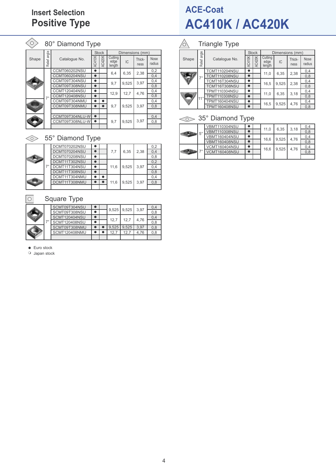## **Insert Selection Positive Type**

| Ω,    |           | 80° Diamond Type     |               |               |                           |                 |                |                       |
|-------|-----------|----------------------|---------------|---------------|---------------------------|-----------------|----------------|-----------------------|
|       | angle     |                      |               | <b>Stock</b>  |                           | Dimensions (mm) |                |                       |
| Shape | Relief    | Catalogue No.        | <b>AC410K</b> | <b>AC420K</b> | Cutting<br>edge<br>length | IC              | Thick-<br>ness | <b>Nose</b><br>radius |
|       |           | <b>CCMT060202NSU</b> | $\bullet$     |               | 6,4                       | 6,35            | 2,38           | 0,2                   |
|       |           | CCMT060204NSU        |               |               |                           |                 |                | 0,4                   |
|       |           | CCMT09T304NSU        | n             |               | 9,7                       | 9,525           | 3,97           | 0,4                   |
|       |           | CCMT09T308NSU        | n             |               |                           |                 |                | 0,8                   |
|       |           | CCMT120404NSU        |               |               |                           | 12,7            | 4,76           | 0,4                   |
|       | $7^\circ$ | <b>CCMT120408NSU</b> |               |               | 12,9                      |                 |                | 0,8                   |
|       |           | CCMT09T304NMU        |               |               |                           |                 |                | 0,4                   |
|       |           | CCMT09T308NMU        |               |               | 9,7                       | 9,525           | 3,97           | 0,8                   |
|       |           |                      |               |               |                           |                 |                |                       |
|       |           | CCMT09T304NLU-W      |               |               |                           |                 |                | 0,4                   |
|       |           | CCMT09T308NLU-W      | $\bullet$     |               | 9,7                       | 9,525           | 3,97           | 0,8                   |
|       |           |                      |               |               |                           |                 |                |                       |

## $\textcircled{\tiny{\textcircled{\#}}} 55^{\circ}$  Diamond Type

|   | DCMT070202NSU |  |      |       |      | 0,2 |
|---|---------------|--|------|-------|------|-----|
|   | DCMT070204NSU |  | 7.7  | 6.35  | 2.38 | 0,4 |
|   | DCMT070208NSU |  |      |       |      | 0,8 |
|   | DCMT11T302NSU |  |      |       |      | 0,2 |
| ⇁ | DCMT11T304NSU |  | 11.6 | 9.525 | 3.97 | 0.4 |
|   | DCMT11T308NSU |  |      |       |      | 0.8 |
|   | DCMT11T304NMU |  |      |       |      | 0.4 |
|   | DCMT11T308NMU |  | 11.6 | 9.525 | 3.97 | 0,8 |
|   |               |  |      |       |      |     |

#### $\begin{array}{|c|} \hline \rule{0pt}{12pt} \rule{0pt}{2.5pt} \rule{0pt}{2.5pt} \rule{0pt}{2.5pt} \rule{0pt}{2.5pt} \rule{0pt}{2.5pt} \rule{0pt}{2.5pt} \rule{0pt}{2.5pt} \rule{0pt}{2.5pt} \rule{0pt}{2.5pt} \rule{0pt}{2.5pt} \rule{0pt}{2.5pt} \rule{0pt}{2.5pt} \rule{0pt}{2.5pt} \rule{0pt}{2.5pt} \rule{0pt}{2.5pt} \rule{0pt}{2.5pt} \rule{0pt}{2.5pt} \rule{0pt}{2.5pt}$ Square Type

|  | SCMT09T304NSU |  | $9.525$ 9.525 |       | 3.97 | 0.4 |
|--|---------------|--|---------------|-------|------|-----|
|  | SCMT09T308NSU |  |               |       |      | 0,8 |
|  | SCMT120404NSU |  | 12.7          |       |      | 0,4 |
|  | SCMT120408NSU |  |               | 12.7  | 4.76 | 0.8 |
|  | SCMT09T308NMU |  | 9.525         | 9.525 | 3.97 | 0.8 |
|  | SCMT120408NMU |  | 12.7          | 12.7  | 4.76 | 0.8 |
|  |               |  |               |       |      |     |

 $\bullet$  Euro stock

 $\circ$  Japan stock

## **ACE-Coat AC410K / AC420K**

#### $\triangle$ Triangle Type

|       | angle        |                      |        | <b>Stock</b>  |                           | Dimensions (mm) |                |                       |
|-------|--------------|----------------------|--------|---------------|---------------------------|-----------------|----------------|-----------------------|
| Shape | Relief       | Catalogue No.        | AC410K | <b>AC420K</b> | Cutting<br>edge<br>length | IC              | Thick-<br>ness | <b>Nose</b><br>radius |
|       |              | TCMT110204NSU        |        |               |                           |                 |                | 0,4                   |
|       | $7^\circ$    | <b>TCMT110208NSU</b> |        |               | 11.0                      | 6,35            | 2,38           | 0,8                   |
|       |              | TCMT16T304NSU        |        |               |                           |                 |                | 0,4                   |
|       |              | TCMT16T308NSU        |        |               | 16,5                      | 9,525           | 2,38           | 0,8                   |
|       |              | TPMT110304NSU        |        |               |                           |                 |                | 0,4                   |
|       | $11^{\circ}$ | TPMT110308NSU        |        |               | 11.0<br>16,5              | 6,35            | 3,18           | 0,8                   |
|       |              | TPMT160404NSU        |        |               |                           |                 |                | 0,4                   |
|       |              | TPMT160408NSU        |        |               |                           | 9,525           | 4,76           | 0,8                   |

### <sup>35°</sup> Diamond Type

|   |      | <b>VBMT110304NSU</b> |  | 11.0 | 6.35  | 3.18 | 0,4 |
|---|------|----------------------|--|------|-------|------|-----|
| 吗 | . 5° | <b>VBMT110308NSU</b> |  |      |       |      | 0,8 |
|   |      | <b>VBMT160404NSU</b> |  | 16.6 | 9.525 | 4.76 | 0,4 |
|   |      | <b>VBMT160408NSU</b> |  |      |       |      | 0,8 |
|   |      | <b>VCMT160404NSU</b> |  | 16.6 | 9.525 | 4.76 | 0,4 |
|   |      | <b>VCMT160408NSU</b> |  |      |       |      | 0,8 |
|   |      |                      |  |      |       |      |     |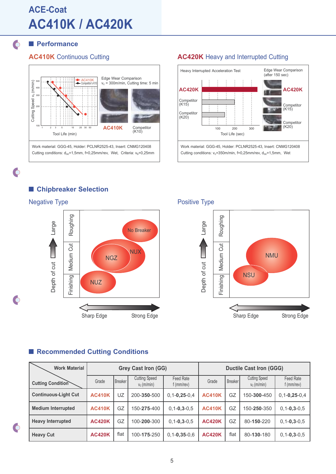## **ACE-Coat AC410K / AC420K**

### $\circ$

 $\bullet$ 

 $\bigcap$ 

## **Performance**



### **AC410K** Continuous Cutting **AC420K** Heavy and Interrupted Cutting



### **Chipbreaker Selection**



### Negative Type **Positive Type** Positive Type



### **Recommended Cutting Conditions**

| <b>Work Material</b>        |               | <b>Grey Cast Iron (GG)</b> |                                       |                           |               |                | <b>Ductile Cast Iron (GGG)</b>        |                           |  |  |  |
|-----------------------------|---------------|----------------------------|---------------------------------------|---------------------------|---------------|----------------|---------------------------------------|---------------------------|--|--|--|
| <b>Cutting Condition</b>    | Grade         | Breaker                    | <b>Cutting Speed</b><br>$v_c$ (m/min) | Feed Rate<br>$f$ (mm/rev) | Grade         | <b>Breaker</b> | <b>Cutting Speed</b><br>$v_c$ (m/min) | Feed Rate<br>$f$ (mm/rev) |  |  |  |
| <b>Continuous-Light Cut</b> | <b>AC410K</b> | UZ                         | 200-350-500                           | $0, 1 - 0, 25 - 0, 4$     | <b>AC410K</b> | GZ             | 150-300-450                           | $0, 1 - 0, 25 - 0, 4$     |  |  |  |
| <b>Medium Interrupted</b>   | <b>AC410K</b> | GZ                         | 150-275-400                           | $0, 1 - 0, 3 - 0, 5$      | <b>AC410K</b> | GZ             | 150-250-350                           | $0, 1 - 0, 3 - 0, 5$      |  |  |  |
| <b>Heavy Interrupted</b>    | <b>AC420K</b> | GZ                         | 100-200-300                           | $0, 1 - 0, 3 - 0, 5$      | <b>AC420K</b> | GZ             | 80-150-220                            | $0, 1 - 0, 3 - 0, 5$      |  |  |  |
| <b>Heavy Cut</b>            | <b>AC420K</b> | flat                       | 100-175-250                           | $0,1 - 0,35 - 0,6$        | <b>AC420K</b> | flat           | 80-130-180                            | $0, 1 - 0, 3 - 0, 5$      |  |  |  |